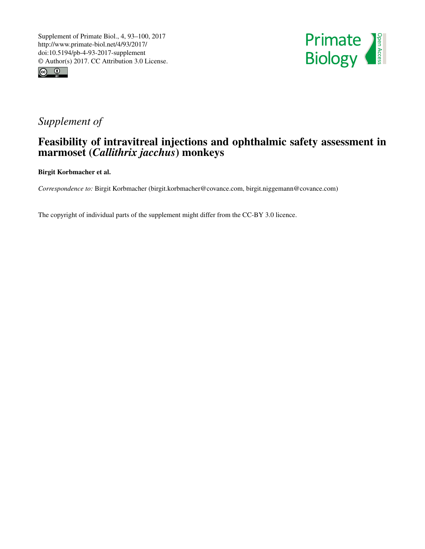



## *Supplement of*

## Feasibility of intravitreal injections and ophthalmic safety assessment in marmoset (*Callithrix jacchus*) monkeys

Birgit Korbmacher et al.

*Correspondence to:* Birgit Korbmacher (birgit.korbmacher@covance.com, birgit.niggemann@covance.com)

The copyright of individual parts of the supplement might differ from the CC-BY 3.0 licence.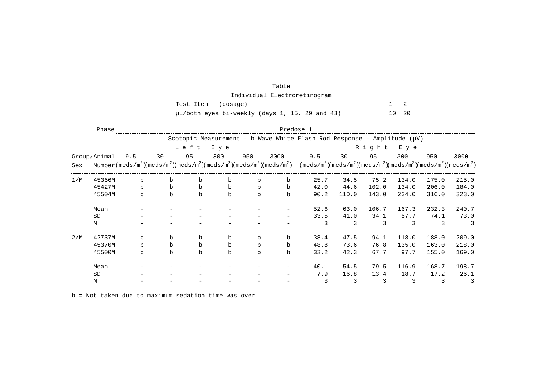|     |              |             |             | Test Item   | (dosage)    |             |             |                                                                                                                                                                                                         |       |           | 2        |       |       |
|-----|--------------|-------------|-------------|-------------|-------------|-------------|-------------|---------------------------------------------------------------------------------------------------------------------------------------------------------------------------------------------------------|-------|-----------|----------|-------|-------|
|     |              |             |             |             |             |             |             | µL/both eyes bi-weekly (days 1, 15, 29 and 43)                                                                                                                                                          |       |           | 10<br>20 |       |       |
|     | Phase        |             |             |             |             |             | Predose 1   |                                                                                                                                                                                                         |       |           |          |       |       |
|     |              |             |             |             |             |             |             | Scotopic Measurement - b-Wave White Flash Rod Response - Amplitude ( $\mu$ V)                                                                                                                           |       |           |          |       |       |
|     |              |             |             | Left        | E y e       |             |             |                                                                                                                                                                                                         |       | Right Eye |          |       |       |
|     | Group/Animal | 9.5         | 30          | 95          | 300         | 950         | 3000        | 9.5                                                                                                                                                                                                     | 30    | 95        | 300      | 950   | 3000  |
| Sex |              |             |             |             |             |             |             | Number $(\text{mcds/m}^2)(\text{mcds/m}^2)(\text{mcds/m}^2)(\text{mcds/m}^2)(\text{mcds/m}^2)(\text{mcds/m}^2)$ $(\text{mcds/m}^2)(\text{mcds/m}^2)(\text{mcds/m}^2)(\text{mcds/m}^2)(\text{mcds/m}^2)$ |       |           |          |       |       |
| 1/M | 45366M       | $\mathbf b$ | $\mathbf b$ | b           | $\mathbf b$ | $\mathbf b$ | b           | 25.7                                                                                                                                                                                                    | 34.5  | 75.2      | 134.0    | 175.0 | 215.0 |
|     | 45427M       | $\mathbf b$ | b           | b           | $\mathbf b$ | $\mathbf b$ | $\mathbf b$ | 42.0                                                                                                                                                                                                    | 44.6  | 102.0     | 134.0    | 206.0 | 184.0 |
|     | 45504M       | $\mathbf b$ | b           | b           | $\mathbf b$ | $\mathbf b$ | b           | 90.2                                                                                                                                                                                                    | 110.0 | 143.0     | 234.0    | 316.0 | 323.0 |
|     | Mean         |             |             |             |             |             |             | 52.6                                                                                                                                                                                                    | 63.0  | 106.7     | 167.3    | 232.3 | 240.7 |
|     | <b>SD</b>    |             |             |             |             |             |             | 33.5                                                                                                                                                                                                    | 41.0  | 34.1      | 57.7     | 74.1  | 73.0  |
|     | Ν            |             |             |             |             |             |             | 3                                                                                                                                                                                                       | 3     | 3         | ζ        | 3     | 3     |
| 2/M | 42737M       | $\mathbf b$ | $\mathbf b$ | b           | $\mathbf b$ | $\mathbf b$ | b           | 38.4                                                                                                                                                                                                    | 47.5  | 94.1      | 118.0    | 188.0 | 209.0 |
|     | 45370M       | $\mathbf b$ | $\mathbf b$ | $\mathbf b$ | $\mathbf b$ | $\mathbf b$ | $\mathbf b$ | 48.8                                                                                                                                                                                                    | 73.6  | 76.8      | 135.0    | 163.0 | 218.0 |
|     | 45500M       | b           | $\mathbf b$ | b           | $\mathbf b$ | $\mathbf b$ | b           | 33.2                                                                                                                                                                                                    | 42.3  | 67.7      | 97.7     | 155.0 | 169.0 |
|     | Mean         |             |             |             |             |             |             | 40.1                                                                                                                                                                                                    | 54.5  | 79.5      | 116.9    | 168.7 | 198.7 |
|     | <b>SD</b>    |             |             |             |             |             |             | 7.9                                                                                                                                                                                                     | 16.8  | 13.4      | 18.7     | 17.2  | 26.1  |
|     | Ν            |             |             |             |             |             |             | ζ                                                                                                                                                                                                       | 3     | २         | 3        | 3     |       |

| Table                        |
|------------------------------|
| Individual Electroretinogram |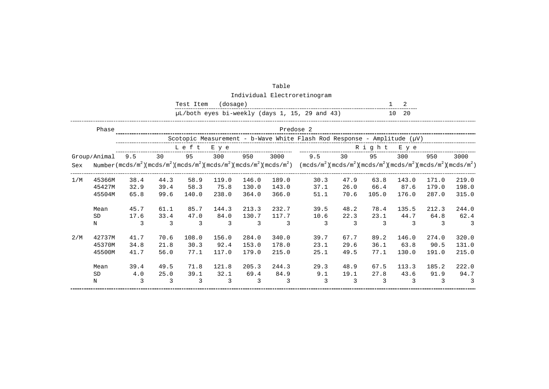|     |              |      |      | Test Item | (dosage) |       |       |                                                                                                                                                                                                                          |      |       | 2        |       |       |
|-----|--------------|------|------|-----------|----------|-------|-------|--------------------------------------------------------------------------------------------------------------------------------------------------------------------------------------------------------------------------|------|-------|----------|-------|-------|
|     |              |      |      |           |          |       |       | µL/both eyes bi-weekly (days 1, 15, 29 and 43)                                                                                                                                                                           |      |       | 20<br>10 |       |       |
|     | Phase        |      |      |           |          |       |       | Predose 2                                                                                                                                                                                                                |      |       |          |       |       |
|     |              |      |      |           |          |       |       | Scotopic Measurement - b-Wave White Flash Rod Response - Amplitude $(\mu V)$                                                                                                                                             |      |       |          |       |       |
|     |              |      |      | Left      | E y e    |       |       |                                                                                                                                                                                                                          |      | Right | E y e    |       |       |
|     | Group/Animal | 9.5  | 30   | 95        | 300      | 950   | 3000  | 9.5                                                                                                                                                                                                                      | 30   | 95    | 300      | 950   | 3000  |
| Sex |              |      |      |           |          |       |       | Number $(\text{mcds/m}^2)(\text{mcds/m}^2)(\text{mcds/m}^2)(\text{mcds/m}^2)(\text{mcds/m}^2)(\text{mcds/m}^2)$ $(\text{mcds/m}^2)(\text{mcds/m}^2)(\text{mcds/m}^2)(\text{mcds/m}^2)(\text{mcds/m}^2)(\text{mcds/m}^2)$ |      |       |          |       |       |
| 1/M | 45366M       | 38.4 | 44.3 | 58.9      | 119.0    | 146.0 | 189.0 | 30.3                                                                                                                                                                                                                     | 47.9 | 63.8  | 143.0    | 171.0 | 219.0 |
|     | 45427M       | 32.9 | 39.4 | 58.3      | 75.8     | 130.0 | 143.0 | 37.1                                                                                                                                                                                                                     | 26.0 | 66.4  | 87.6     | 179.0 | 198.0 |
|     | 45504M       | 65.8 | 99.6 | 140.0     | 238.0    | 364.0 | 366.0 | 51.1                                                                                                                                                                                                                     | 70.6 | 105.0 | 176.0    | 287.0 | 315.0 |
|     | Mean         | 45.7 | 61.1 | 85.7      | 144.3    | 213.3 | 232.7 | 39.5                                                                                                                                                                                                                     | 48.2 | 78.4  | 135.5    | 212.3 | 244.0 |
|     | <b>SD</b>    | 17.6 | 33.4 | 47.0      | 84.0     | 130.7 | 117.7 | 10.6                                                                                                                                                                                                                     | 22.3 | 23.1  | 44.7     | 64.8  | 62.4  |
|     | N            | 3    | 3    | 3         | 3        | 3     | 3     | 3                                                                                                                                                                                                                        | 3    | 3     | 3        | 3     | 3     |
| 2/M | 42737M       | 41.7 | 70.6 | 108.0     | 156.0    | 284.0 | 340.0 | 39.7                                                                                                                                                                                                                     | 67.7 | 89.2  | 146.0    | 274.0 | 320.0 |
|     | 45370M       | 34.8 | 21.8 | 30.3      | 92.4     | 153.0 | 178.0 | 23.1                                                                                                                                                                                                                     | 29.6 | 36.1  | 63.8     | 90.5  | 131.0 |
|     | 45500M       | 41.7 | 56.0 | 77.1      | 117.0    | 179.0 | 215.0 | 25.1                                                                                                                                                                                                                     | 49.5 | 77.1  | 130.0    | 191.0 | 215.0 |
|     | Mean         | 39.4 | 49.5 | 71.8      | 121.8    | 205.3 | 244.3 | 29.3                                                                                                                                                                                                                     | 48.9 | 67.5  | 113.3    | 185.2 | 222.0 |
|     | <b>SD</b>    | 4.0  | 25.0 | 39.1      | 32.1     | 69.4  | 84.9  | 9.1                                                                                                                                                                                                                      | 19.1 | 27.8  | 43.6     | 91.9  | 94.7  |
|     | N            | 3    | 3    | 3         | 3        | 3     | 3     | 3                                                                                                                                                                                                                        | 3    | 3     | 3        | 3     | 3     |

Table Individual Electroretinogram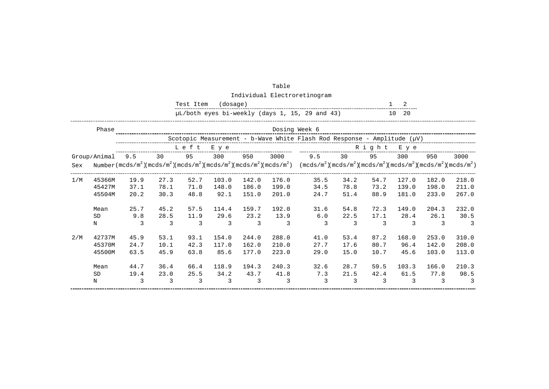|     |              |      |      | Test Item | (dosage) |       |       |                                                                                                                                                                                                                          |      |       | 2        |       |       |
|-----|--------------|------|------|-----------|----------|-------|-------|--------------------------------------------------------------------------------------------------------------------------------------------------------------------------------------------------------------------------|------|-------|----------|-------|-------|
|     |              |      |      |           |          |       |       | µL/both eyes bi-weekly (days 1, 15, 29 and 43)                                                                                                                                                                           |      |       | 10<br>20 |       |       |
|     | Phase        |      |      |           |          |       |       | Dosing Week 6                                                                                                                                                                                                            |      |       |          |       |       |
|     |              |      |      |           |          |       |       | Scotopic Measurement - b-Wave White Flash Rod Response - Amplitude $(\mu V)$                                                                                                                                             |      |       |          |       |       |
|     |              |      |      | Left      | E y e    |       |       |                                                                                                                                                                                                                          |      | Right | E y e    |       |       |
|     | Group/Animal | 9.5  | 30   | 95        | 300      | 950   | 3000  | 9.5                                                                                                                                                                                                                      | 30   | 95    | 300      | 950   | 3000  |
| Sex |              |      |      |           |          |       |       | Number $(\text{mcds/m}^2)(\text{mcds/m}^2)(\text{mcds/m}^2)(\text{mcds/m}^2)(\text{mcds/m}^2)(\text{mcds/m}^2)$ $(\text{mcds/m}^2)(\text{mcds/m}^2)(\text{mcds/m}^2)(\text{mcds/m}^2)(\text{mcds/m}^2)(\text{mcds/m}^2)$ |      |       |          |       |       |
| 1/M | 45366M       | 19.9 | 27.3 | 52.7      | 103.0    | 142.0 | 176.0 | 35.5                                                                                                                                                                                                                     | 34.2 | 54.7  | 127.0    | 182.0 | 218.0 |
|     | 45427M       | 37.1 | 78.1 | 71.0      | 148.0    | 186.0 | 199.0 | 34.5                                                                                                                                                                                                                     | 78.8 | 73.2  | 139.0    | 198.0 | 211.0 |
|     | 45504M       | 20.2 | 30.3 | 48.8      | 92.1     | 151.0 | 201.0 | 24.7                                                                                                                                                                                                                     | 51.4 | 88.9  | 181.0    | 233.0 | 267.0 |
|     | Mean         | 25.7 | 45.2 | 57.5      | 114.4    | 159.7 | 192.0 | 31.6                                                                                                                                                                                                                     | 54.8 | 72.3  | 149.0    | 204.3 | 232.0 |
|     | <b>SD</b>    | 9.8  | 28.5 | 11.9      | 29.6     | 23.2  | 13.9  | 6.0                                                                                                                                                                                                                      | 22.5 | 17.1  | 28.4     | 26.1  | 30.5  |
|     | N            | 3    | 3    | 3         | 3        | 3     | 3     | 3                                                                                                                                                                                                                        | 3    | 3     | 3        | 3     | 3     |
| 2/M | 42737M       | 45.9 | 53.1 | 93.1      | 154.0    | 244.0 | 288.0 | 41.0                                                                                                                                                                                                                     | 53.4 | 87.2  | 168.0    | 253.0 | 310.0 |
|     | 45370M       | 24.7 | 10.1 | 42.3      | 117.0    | 162.0 | 210.0 | 27.7                                                                                                                                                                                                                     | 17.6 | 80.7  | 96.4     | 142.0 | 208.0 |
|     | 45500M       | 63.5 | 45.9 | 63.8      | 85.6     | 177.0 | 223.0 | 29.0                                                                                                                                                                                                                     | 15.0 | 10.7  | 45.6     | 103.0 | 113.0 |
|     | Mean         | 44.7 | 36.4 | 66.4      | 118.9    | 194.3 | 240.3 | 32.6                                                                                                                                                                                                                     | 28.7 | 59.5  | 103.3    | 166.0 | 210.3 |
|     | <b>SD</b>    | 19.4 | 23.0 | 25.5      | 34.2     | 43.7  | 41.8  | 7.3                                                                                                                                                                                                                      | 21.5 | 42.4  | 61.5     | 77.8  | 98.5  |
|     | N            | 3    | 3    | 3         | 3        | 3     | 3     | 3                                                                                                                                                                                                                        | 3    | 3     | 3        | 3     | 3     |

Table Individual Electroretinogram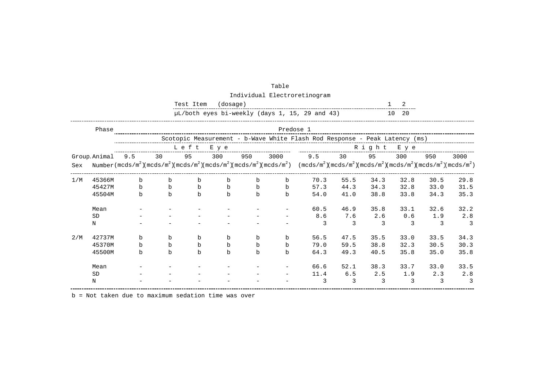|     |              |              |    | Test Item | (dosage)    |             |           |                                                                                                                                                                                                         |      |      | 2         |      |      |
|-----|--------------|--------------|----|-----------|-------------|-------------|-----------|---------------------------------------------------------------------------------------------------------------------------------------------------------------------------------------------------------|------|------|-----------|------|------|
|     |              |              |    |           |             |             |           | µL/both eyes bi-weekly (days 1, 15, 29 and 43)                                                                                                                                                          |      |      | 10<br>20  |      |      |
|     | Phase        |              |    |           |             |             | Predose 1 |                                                                                                                                                                                                         |      |      |           |      |      |
|     |              |              |    |           |             |             |           | Scotopic Measurement - b-Wave White Flash Rod Response - Peak Latency (ms)                                                                                                                              |      |      |           |      |      |
|     |              |              |    | Left      | E y e       |             |           |                                                                                                                                                                                                         |      |      | Right Eye |      |      |
|     | Group Animal | 9.5          | 30 | 95        | 300         | 950         | 3000      | 9.5                                                                                                                                                                                                     | 30   | 95   | 300       | 950  | 3000 |
| Sex |              |              |    |           |             |             |           | Number $(\text{mcds/m}^2)(\text{mcds/m}^2)(\text{mcds/m}^2)(\text{mcds/m}^2)(\text{mcds/m}^2)(\text{mcds/m}^2)$ $(\text{mcds/m}^2)(\text{mcds/m}^2)(\text{mcds/m}^2)(\text{mcds/m}^2)(\text{mcds/m}^2)$ |      |      |           |      |      |
| 1/M | 45366M       | $\mathbf b$  | b  | b         | $\mathbf b$ | $\mathbf b$ | b         | 70.3                                                                                                                                                                                                    | 55.5 | 34.3 | 32.8      | 30.5 | 29.8 |
|     | 45427M       | $\mathbf b$  | b  | b         | $\mathbf b$ | b           | b         | 57.3                                                                                                                                                                                                    | 44.3 | 34.3 | 32.8      | 33.0 | 31.5 |
|     | 45504M       | $\mathsf{h}$ | b  | b         | $\mathbf b$ | b           | b         | 54.0                                                                                                                                                                                                    | 41.0 | 38.8 | 33.8      | 34.3 | 35.3 |
|     | Mean         |              |    |           |             |             |           | 60.5                                                                                                                                                                                                    | 46.9 | 35.8 | 33.1      | 32.6 | 32.2 |
|     | <b>SD</b>    |              |    |           |             |             |           | 8.6                                                                                                                                                                                                     | 7.6  | 2.6  | 0.6       | 1.9  | 2.8  |
|     | N            |              |    |           |             |             |           | 3                                                                                                                                                                                                       | 3    | 3    | 3         | 3    | 3    |
| 2/M | 42737M       | b            | b  | b         | b           | b           | b         | 56.5                                                                                                                                                                                                    | 47.5 | 35.5 | 33.0      | 33.5 | 34.3 |
|     | 45370M       | $\mathbf b$  | b  | b         | $\mathbf b$ | $\mathbf b$ | b         | 79.0                                                                                                                                                                                                    | 59.5 | 38.8 | 32.3      | 30.5 | 30.3 |
|     | 45500M       | b            | b  | b         | b           | b           | b         | 64.3                                                                                                                                                                                                    | 49.3 | 40.5 | 35.8      | 35.0 | 35.8 |
|     | Mean         |              |    |           |             |             |           | 66.6                                                                                                                                                                                                    | 52.1 | 38.3 | 33.7      | 33.0 | 33.5 |
|     | <b>SD</b>    |              |    |           |             |             |           | 11.4                                                                                                                                                                                                    | 6.5  | 2.5  | 1.9       | 2.3  | 2.8  |
|     | N            |              |    |           |             |             |           | 3                                                                                                                                                                                                       | 3    | 3    | 3         | 3    | 3    |

| Table                        |
|------------------------------|
| Individual Electroretinogram |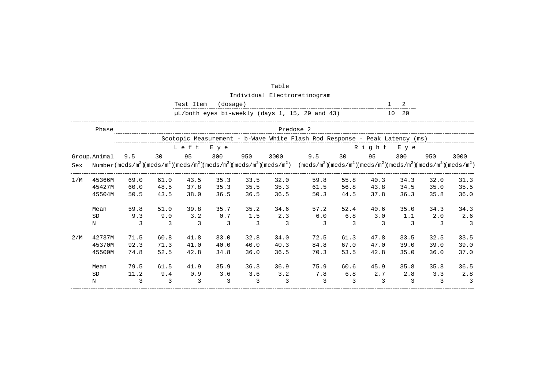|     |                            |                      |                      | Test Item            | (dosage)             |                              |                      |                                                                                                                                                                                                                                                                                                                                                          |                      |                      | 2                    |                      |                               |
|-----|----------------------------|----------------------|----------------------|----------------------|----------------------|------------------------------|----------------------|----------------------------------------------------------------------------------------------------------------------------------------------------------------------------------------------------------------------------------------------------------------------------------------------------------------------------------------------------------|----------------------|----------------------|----------------------|----------------------|-------------------------------|
|     |                            |                      |                      |                      |                      |                              |                      | µL/both eyes bi-weekly (days 1, 15, 29 and 43)                                                                                                                                                                                                                                                                                                           |                      |                      | 20<br>10             |                      |                               |
|     | Phase                      |                      |                      |                      |                      |                              |                      | Predose 2                                                                                                                                                                                                                                                                                                                                                |                      |                      |                      |                      |                               |
|     |                            |                      |                      |                      |                      |                              |                      | Scotopic Measurement - b-Wave White Flash Rod Response - Peak Latency (ms)                                                                                                                                                                                                                                                                               |                      |                      |                      |                      |                               |
|     |                            |                      |                      | Left                 | E y e                |                              |                      |                                                                                                                                                                                                                                                                                                                                                          |                      | Right                | E y e                |                      |                               |
| Sex | Group Animal               | 9.5                  | 30                   | 95                   | 300                  | 950                          | 3000                 | 9.5<br>Number (mcds/m <sup>2</sup> )(mcds/m <sup>2</sup> )(mcds/m <sup>2</sup> )(mcds/m <sup>2</sup> )(mcds/m <sup>2</sup> )(mcds/m <sup>2</sup> )(mcds/m <sup>2</sup> )(mcds/m <sup>2</sup> )(mcds/m <sup>2</sup> )(mcds/m <sup>2</sup> )(mcds/m <sup>2</sup> )(mcds/m <sup>2</sup> )(mcds/m <sup>2</sup> )(mcds/m <sup>2</sup> )(mcds/m <sup>2</sup> ) | 30                   | 95                   | 300                  | 950                  | 3000                          |
| 1/M | 45366M<br>45427M<br>45504M | 69.0<br>60.0<br>50.5 | 61.0<br>48.5<br>43.5 | 43.5<br>37.8<br>38.0 | 35.3<br>35.3<br>36.5 | 33.5<br>35.5<br>36.5         | 32.0<br>35.3<br>36.5 | 59.8<br>61.5<br>50.3                                                                                                                                                                                                                                                                                                                                     | 55.8<br>56.8<br>44.5 | 40.3<br>43.8<br>37.8 | 34.3<br>34.5<br>36.3 | 32.0<br>35.0<br>35.8 | 31.3<br>35.5<br>36.0          |
|     | Mean<br><b>SD</b><br>Ν     | 59.8<br>9.3<br>3     | 51.0<br>9.0<br>3     | 39.8<br>3.2<br>3     | 35.7<br>0.7<br>3     | 35.2<br>1.5<br>$\mathcal{E}$ | 34.6<br>2.3<br>3     | 57.2<br>6.0<br>3                                                                                                                                                                                                                                                                                                                                         | 52.4<br>6.8<br>3     | 40.6<br>3.0<br>3     | 35.0<br>1.1<br>3     | 34.3<br>2.0<br>3     | 34.3<br>2.6<br>3              |
| 2/M | 42737M<br>45370M<br>45500M | 71.5<br>92.3<br>74.8 | 60.8<br>71.3<br>52.5 | 41.8<br>41.0<br>42.8 | 33.0<br>40.0<br>34.8 | 32.8<br>40.0<br>36.0         | 34.0<br>40.3<br>36.5 | 72.5<br>84.8<br>70.3                                                                                                                                                                                                                                                                                                                                     | 61.3<br>67.0<br>53.5 | 47.8<br>47.0<br>42.8 | 33.5<br>39.0<br>35.0 | 32.5<br>39.0<br>36.0 | 33.5<br>39.0<br>37.0          |
|     | Mean<br><b>SD</b><br>Ν     | 79.5<br>11.2<br>3    | 61.5<br>9.4<br>3     | 41.9<br>0.9<br>3     | 35.9<br>3.6<br>3     | 36.3<br>3.6<br>3             | 36.9<br>3.2<br>3     | 75.9<br>7.8<br>3                                                                                                                                                                                                                                                                                                                                         | 60.6<br>6.8<br>3     | 45.9<br>2.7<br>3     | 35.8<br>2.8<br>3     | 35.8<br>3.3<br>3     | 36.5<br>2.8<br>$\overline{3}$ |

Table Individual Electroretinogram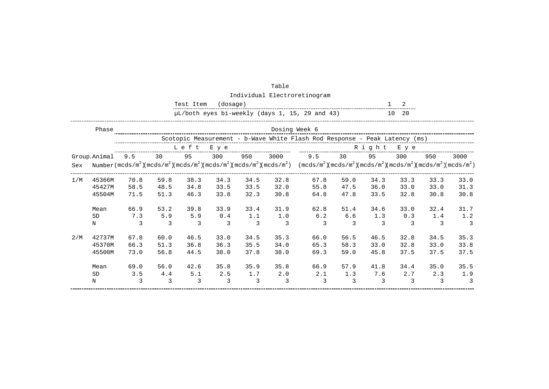|     |              |      |      | Test Item | (dosage) |               |      |                                                                                                                                                                                                                                                                                                                                                                                                                                                |      |       | 2             |      |                |
|-----|--------------|------|------|-----------|----------|---------------|------|------------------------------------------------------------------------------------------------------------------------------------------------------------------------------------------------------------------------------------------------------------------------------------------------------------------------------------------------------------------------------------------------------------------------------------------------|------|-------|---------------|------|----------------|
|     |              |      |      |           |          |               |      | µL/both eyes bi-weekly (days 1, 15, 29 and 43)                                                                                                                                                                                                                                                                                                                                                                                                 |      |       | 20<br>10      |      |                |
|     | Phase        |      |      |           |          |               |      | Dosing Week 6                                                                                                                                                                                                                                                                                                                                                                                                                                  |      |       |               |      |                |
|     |              |      |      |           |          |               |      | Scotopic Measurement - b-Wave White Flash Rod Response - Peak Latency (ms)                                                                                                                                                                                                                                                                                                                                                                     |      |       |               |      |                |
|     |              |      |      | Left      | E y e    |               |      |                                                                                                                                                                                                                                                                                                                                                                                                                                                |      | Right | E y e         |      |                |
|     | Group Animal | 9.5  | 30   | 95        | 300      | 950           | 3000 | 9.5                                                                                                                                                                                                                                                                                                                                                                                                                                            | 30   | 95    | 300           | 950  | 3000           |
| Sex |              |      |      |           |          |               |      | Number (mcds/m <sup>2</sup> )(mcds/m <sup>2</sup> )(mcds/m <sup>2</sup> )(mcds/m <sup>2</sup> )(mcds/m <sup>2</sup> )(mcds/m <sup>2</sup> )(mcds/m <sup>2</sup> )(mcds/m <sup>2</sup> )(mcds/m <sup>2</sup> )(mcds/m <sup>2</sup> )(mcds/m <sup>2</sup> )(mcds/m <sup>2</sup> )(mcds/m <sup>2</sup> )(mcds/m <sup>2</sup> )(mcds/m <sup>2</sup> )(mcds/m <sup>2</sup> )(mcds/m <sup>2</sup> )(mcds/m <sup>2</sup> )(mcds/m <sup>2</sup> )(mcds |      |       |               |      |                |
| 1/M | 45366M       | 70.8 | 59.8 | 38.3      | 34.3     | 34.5          | 32.8 | 67.8                                                                                                                                                                                                                                                                                                                                                                                                                                           | 59.0 | 34.3  | 33.3          | 33.3 | 33.0           |
|     | 45427M       | 58.5 | 48.5 | 34.8      | 33.5     | 33.5          | 32.0 | 55.8                                                                                                                                                                                                                                                                                                                                                                                                                                           | 47.5 | 36.0  | 33.0          | 33.0 | 31.3           |
|     | 45504M       | 71.5 | 51.3 | 46.3      | 33.8     | 32.3          | 30.8 | 64.8                                                                                                                                                                                                                                                                                                                                                                                                                                           | 47.8 | 33.5  | 32.8          | 30.8 | 30.8           |
|     | Mean         | 66.9 | 53.2 | 39.8      | 33.9     | 33.4          | 31.9 | 62.8                                                                                                                                                                                                                                                                                                                                                                                                                                           | 51.4 | 34.6  | 33.0          | 32.4 | 31.7           |
|     | <b>SD</b>    | 7.3  | 5.9  | 5.9       | 0.4      | 1.1           | 1.0  | 6.2                                                                                                                                                                                                                                                                                                                                                                                                                                            | 6.6  | 1.3   | 0.3           | 1.4  | 1.2            |
|     | N            | 3    | 3    | 3         | 3        | $\mathcal{E}$ | 3    | 3                                                                                                                                                                                                                                                                                                                                                                                                                                              | 3    | 3     | $\mathcal{L}$ | 3    | 3              |
| 2/M | 42737M       | 67.8 | 60.0 | 46.5      | 33.0     | 34.5          | 35.3 | 66.0                                                                                                                                                                                                                                                                                                                                                                                                                                           | 56.5 | 46.5  | 32.8          | 34.5 | 35.3           |
|     | 45370M       | 66.3 | 51.3 | 36.8      | 36.3     | 35.5          | 34.0 | 65.3                                                                                                                                                                                                                                                                                                                                                                                                                                           | 58.3 | 33.0  | 32.8          | 33.0 | 33.8           |
|     | 45500M       | 73.0 | 56.8 | 44.5      | 38.0     | 37.8          | 38.0 | 69.3                                                                                                                                                                                                                                                                                                                                                                                                                                           | 59.0 | 45.8  | 37.5          | 37.5 | 37.5           |
|     | Mean         | 69.0 | 56.0 | 42.6      | 35.8     | 35.9          | 35.8 | 66.9                                                                                                                                                                                                                                                                                                                                                                                                                                           | 57.9 | 41.8  | 34.4          | 35.0 | 35.5           |
|     | <b>SD</b>    | 3.5  | 4.4  | 5.1       | 2.5      | 1.7           | 2.0  | 2.1                                                                                                                                                                                                                                                                                                                                                                                                                                            | 1.3  | 7.6   | 2.7           | 2.3  | 1.9            |
|     | Ν            | 3    | 3    | 3         | 3        | 3             | 3    | 3                                                                                                                                                                                                                                                                                                                                                                                                                                              | 3    | 3     | 3             | 3    | $\overline{3}$ |

Table Individual Electroretinogram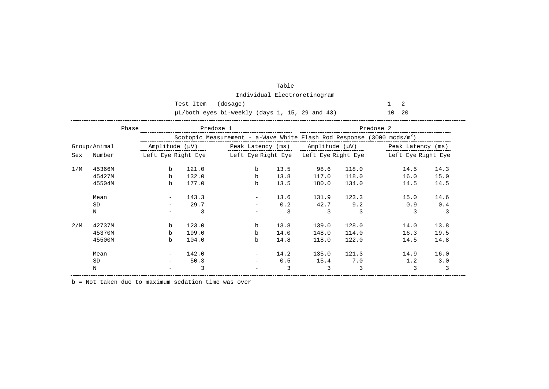|     |              |       | Test Item      | (dosage)                                       |             |      |       |       | 2                                                                             |      |
|-----|--------------|-------|----------------|------------------------------------------------|-------------|------|-------|-------|-------------------------------------------------------------------------------|------|
|     |              |       |                | µL/both eyes bi-weekly (days 1, 15, 29 and 43) |             |      |       |       | 10 20                                                                         |      |
|     |              | Phase |                | Predose 1                                      |             |      |       |       | Predose 2                                                                     |      |
|     |              |       |                |                                                |             |      |       |       | Scotopic Measurement - a-Wave White Flash Rod Response (3000 mcds/ $m^2$ )    |      |
|     | Group/Animal |       | Amplitude (µV) |                                                |             |      |       |       | Peak Latency $(ms)$ Amplitude $(\mu V)$ Peak Latency $(ms)$                   |      |
| Sex | Number       |       |                |                                                |             |      |       |       | Left Eye Right Eye Xight Eye Right Eye Left Eye Right Eye Cleft Eye Right Eye |      |
| 1/M | 45366M       | $b$   | 121.0          |                                                | $b$         | 13.5 | 98.6  | 118.0 | 14.5                                                                          | 14.3 |
|     | 45427M       | b     | 132.0          |                                                | $\mathbf b$ | 13.8 | 117.0 | 118.0 | 16.0                                                                          | 15.0 |
|     | 45504M       | b     | 177.0          |                                                | $\mathbf b$ | 13.5 | 180.0 | 134.0 | 14.5                                                                          | 14.5 |
|     | Mean         |       | 143.3          |                                                |             | 13.6 | 131.9 | 123.3 | 15.0                                                                          | 14.6 |
|     | <b>SD</b>    |       | 29.7           |                                                |             | 0.2  | 42.7  | 9.2   | 0.9                                                                           | 0.4  |
|     | Ν            |       | 3              |                                                |             | 3    | 3     | 3     | 3                                                                             | 3    |
| 2/M | 42737M       | b     | 123.0          |                                                | b           | 13.8 | 139.0 | 128.0 | 14.0                                                                          | 13.8 |
|     | 45370M       | b     | 199.0          |                                                | $\mathbf b$ | 14.0 | 148.0 | 114.0 | 16.3                                                                          | 19.5 |
|     | 45500M       | b     | 104.0          |                                                | b           | 14.8 | 118.0 | 122.0 | 14.5                                                                          | 14.8 |
|     | Mean         |       | 142.0          |                                                |             | 14.2 | 135.0 | 121.3 | 14.9                                                                          | 16.0 |
|     | <b>SD</b>    |       | 50.3           |                                                |             | 0.5  | 15.4  | 7.0   | 1.2                                                                           | 3.0  |
|     | N            |       | 3              |                                                |             | 3    | 3     | 3     | 3                                                                             | 3    |

| Table                                |
|--------------------------------------|
| $\text{tridiab} \cdot \text{Floath}$ |

Individual Electroretinogram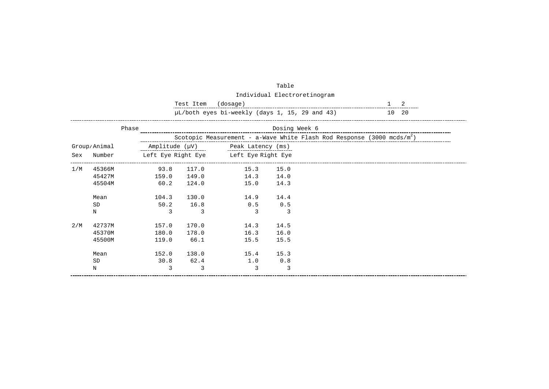|     |              |                | Test Item | (dosage)                                       |               |                                                                                    | 2        |  |
|-----|--------------|----------------|-----------|------------------------------------------------|---------------|------------------------------------------------------------------------------------|----------|--|
|     |              |                |           | µL/both eyes bi-weekly (days 1, 15, 29 and 43) |               |                                                                                    | 20<br>10 |  |
|     |              | Phase          |           |                                                | Dosing Week 6 |                                                                                    |          |  |
|     |              |                |           |                                                |               | Scotopic Measurement - a-Wave White Flash Rod Response (3000 mcds/m <sup>2</sup> ) |          |  |
|     | Group/Animal | Amplitude (µV) |           | Peak Latency (ms)                              |               |                                                                                    |          |  |
| Sex | Number       |                |           | Left Eye Right Eye Left Eye Right Eye          |               |                                                                                    |          |  |
| 1/M | 45366M       | 93.8           | 117.0     | 15.3                                           | 15.0          |                                                                                    |          |  |
|     | 45427M       | 159.0          | 149.0     | 14.3                                           | 14.0          |                                                                                    |          |  |
|     | 45504M       | 60.2           | 124.0     | 15.0                                           | 14.3          |                                                                                    |          |  |
|     | Mean         | 104.3          | 130.0     | 14.9                                           | 14.4          |                                                                                    |          |  |
|     | <b>SD</b>    | 50.2           | 16.8      | 0.5                                            | 0.5           |                                                                                    |          |  |
|     | N            | 3              | 3         | 3                                              | 3             |                                                                                    |          |  |
| 2/M | 42737M       | 157.0          | 170.0     | 14.3                                           | 14.5          |                                                                                    |          |  |
|     | 45370M       | 180.0          | 178.0     | 16.3                                           | 16.0          |                                                                                    |          |  |
|     | 45500M       | 119.0          | 66.1      | 15.5                                           | 15.5          |                                                                                    |          |  |
|     | Mean         | 152.0          | 138.0     | 15.4                                           | 15.3          |                                                                                    |          |  |
|     | <b>SD</b>    | 30.8           | 62.4      | 1.0                                            | 0.8           |                                                                                    |          |  |
|     | $\rm N$      | 3              | 3         | 3                                              | 3             |                                                                                    |          |  |

Individual Electroretinogram

Table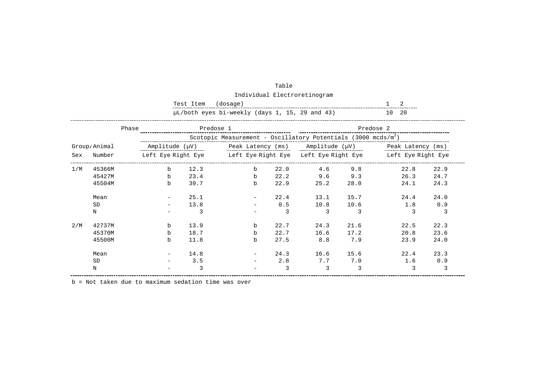|     |              |                | Test Item | (dosage)                                                                  |      |      |      |                                                                             |      |
|-----|--------------|----------------|-----------|---------------------------------------------------------------------------|------|------|------|-----------------------------------------------------------------------------|------|
|     |              |                |           | µL/both eyes bi-weekly (days 1, 15, 29 and 43)                            |      |      |      | 10 20                                                                       |      |
|     | Phase        |                | Predose 1 |                                                                           |      |      |      | Predose 2                                                                   |      |
|     |              |                |           | Scotopic Measurement - Oscillatory Potentials (3000 mcds/m <sup>2</sup> ) |      |      |      |                                                                             |      |
|     | Group/Animal | Amplitude (µV) |           | Peak Latency (ms) $\qquad$ Amplitude ( $\mu$ V)                           |      |      |      | Peak Latency (ms)                                                           |      |
| Sex | Number       |                |           |                                                                           |      |      |      | Left Eye Right Eye Meft Eye Right Eye Left Eye Right Eye Meft Eye Right Eye |      |
| 1/M | 45366M       | b              | 12.3      | $b$                                                                       | 22.0 | 4.6  | 9.8  | 22.8                                                                        | 22.9 |
|     | 45427M       | b              | 23.4      | $\mathbf b$                                                               | 22.2 | 9.6  | 9.3  | 26.3                                                                        | 24.7 |
|     | 45504M       | b              | 39.7      | $\mathbf b$                                                               | 22.9 | 25.2 | 28.0 | 24.1                                                                        | 24.3 |
|     | Mean         |                | 25.1      |                                                                           | 22.4 | 13.1 | 15.7 | 24.4                                                                        | 24.0 |
|     | <b>SD</b>    |                | 13.8      |                                                                           | 0.5  | 10.8 | 10.6 | 1.8                                                                         | 0.9  |
|     | N            |                | 3         |                                                                           | 3    | 3    | 3    |                                                                             | 3    |
| 2/M | 42737M       | b              | 13.9      | $\mathbf b$                                                               | 22.7 | 24.3 | 21.6 | 22.5                                                                        | 22.3 |
|     | 45370M       | b              | 18.7      | b                                                                         | 22.7 | 16.6 | 17.2 | 20.8                                                                        | 23.6 |
|     | 45500M       | b              | 11.8      | b                                                                         | 27.5 | 8.8  | 7.9  | 23.9                                                                        | 24.0 |
|     | Mean         |                | 14.8      |                                                                           | 24.3 | 16.6 | 15.6 | 22.4                                                                        | 23.3 |
|     | <b>SD</b>    |                | 3.5       |                                                                           | 2.8  | 7.7  | 7.0  | 1.6                                                                         | 0.9  |
|     | N            |                | 3         |                                                                           | 3    | 3    | 3    | 3                                                                           | 3    |

| Table                        |
|------------------------------|
| Individual Electroretinogram |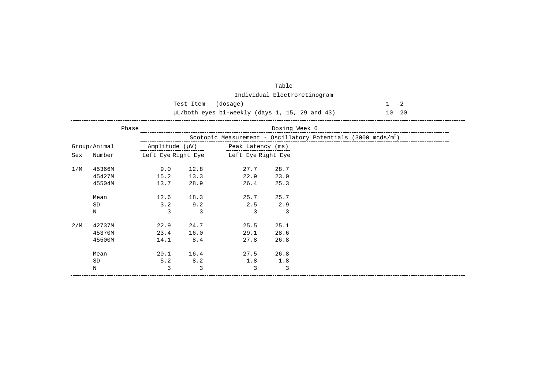|               |              |       |                    | µL/both eyes bi-weekly (days 1, 15, 29 and 43) |                    |                                                                           | 10 20 |  |
|---------------|--------------|-------|--------------------|------------------------------------------------|--------------------|---------------------------------------------------------------------------|-------|--|
|               |              | Phase |                    |                                                | Dosing Week 6      |                                                                           |       |  |
|               |              |       |                    |                                                |                    | Scotopic Measurement - Oscillatory Potentials (3000 mcds/m <sup>2</sup> ) |       |  |
|               | Group/Animal |       |                    | Amplitude $(\mu V)$ Peak Latency (ms)          |                    |                                                                           |       |  |
| Number<br>Sex |              |       | Left Eye Right Eye |                                                | Left Eye Right Eye |                                                                           |       |  |
| 1/M           | 45366M       | 9.0   | 12.8               | 27.7                                           | 28.7               |                                                                           |       |  |
|               | 45427M       | 15.2  | 13.3               | 22.9                                           | 23.0               |                                                                           |       |  |
|               | 45504M       | 13.7  | 28.9               | 26.4                                           | 25.3               |                                                                           |       |  |
|               | Mean         | 12.6  | 18.3               | 25.7                                           | 25.7               |                                                                           |       |  |
|               | <b>SD</b>    | 3.2   | 9.2                | 2.5                                            | 2.9                |                                                                           |       |  |
|               | $\mathbf N$  | 3     | 3                  |                                                | 3                  |                                                                           |       |  |
| 2/M           | 42737M       | 22.9  | 24.7               | 25.5                                           | 25.1               |                                                                           |       |  |
|               | 45370M       | 23.4  | 16.0               | 29.1                                           | 28.6               |                                                                           |       |  |
|               | 45500M       | 14.1  | 8.4                | 27.8                                           | 26.8               |                                                                           |       |  |
|               | Mean         | 20.1  | 16.4               | 27.5                                           | 26.8               |                                                                           |       |  |
|               | <b>SD</b>    | 5.2   | 8.2                | 1.8                                            | 1.8                |                                                                           |       |  |
|               | $\mathbf N$  | 3     | 3                  | 3                                              | 3                  |                                                                           |       |  |

| Table                        |
|------------------------------|
| Individual Electroretinogram |

Test Item (dosage) 1 2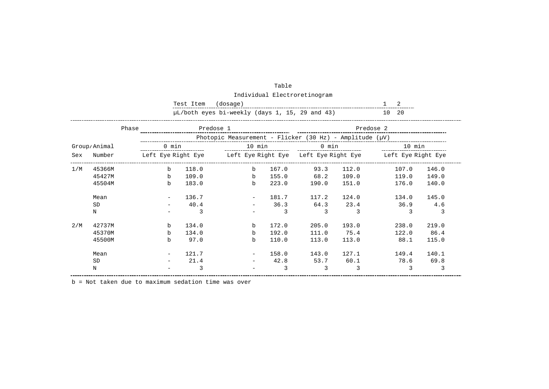|     |              |                                 | Test Item | (dosage)                                                     |                                                                             |       |       | 2      |       |  |
|-----|--------------|---------------------------------|-----------|--------------------------------------------------------------|-----------------------------------------------------------------------------|-------|-------|--------|-------|--|
|     |              |                                 |           | µL/both eyes bi-weekly (days 1, 15, 29 and 43)               |                                                                             |       |       | 10 20  |       |  |
|     |              | Predose 1<br>Phase<br>Predose 2 |           |                                                              |                                                                             |       |       |        |       |  |
|     |              |                                 |           | Photopic Measurement - Flicker (30 Hz) - Amplitude $(\mu V)$ |                                                                             |       |       |        |       |  |
|     | Group/Animal | 0 min                           |           | 10 min                                                       |                                                                             | 0 min |       | 10 min |       |  |
| Sex | Number       |                                 |           |                                                              | Left Eye Right Eye Meft Eye Right Eye Left Eye Right Eye Meft Eye Right Eye |       |       |        |       |  |
| 1/M | 45366M       | $b$                             | 118.0     | $b$                                                          | 167.0                                                                       | 93.3  | 112.0 | 107.0  | 146.0 |  |
|     | 45427M       | $b$                             | 109.0     | $b$                                                          | 155.0                                                                       | 68.2  | 109.0 | 119.0  | 149.0 |  |
|     | 45504M       | b                               | 183.0     | b                                                            | 223.0                                                                       | 190.0 | 151.0 | 176.0  | 140.0 |  |
|     | Mean         |                                 | 136.7     |                                                              | 181.7                                                                       | 117.2 | 124.0 | 134.0  | 145.0 |  |
|     | <b>SD</b>    |                                 | 40.4      |                                                              | 36.3                                                                        | 64.3  | 23.4  | 36.9   | 4.6   |  |
|     | N            |                                 | 3         |                                                              | 3                                                                           | 3     | 3     | 3      | 3     |  |
| 2/M | 42737M       | b                               | 134.0     | b                                                            | 172.0                                                                       | 205.0 | 193.0 | 238.0  | 219.0 |  |
|     | 45370M       | b                               | 134.0     | $\mathbf b$                                                  | 192.0                                                                       | 111.0 | 75.4  | 122.0  | 86.4  |  |
|     | 45500M       | b                               | 97.0      | b                                                            | 110.0                                                                       | 113.0 | 113.0 | 88.1   | 115.0 |  |
|     | Mean         |                                 | 121.7     |                                                              | 158.0                                                                       | 143.0 | 127.1 | 149.4  | 140.1 |  |
|     | <b>SD</b>    |                                 | 21.4      |                                                              | 42.8                                                                        | 53.7  | 60.1  | 78.6   | 69.8  |  |
|     | Ν            |                                 | 3         |                                                              | 3                                                                           | 3     | 3     | 3      |       |  |

| Table                        |
|------------------------------|
| Individual Electroretinogram |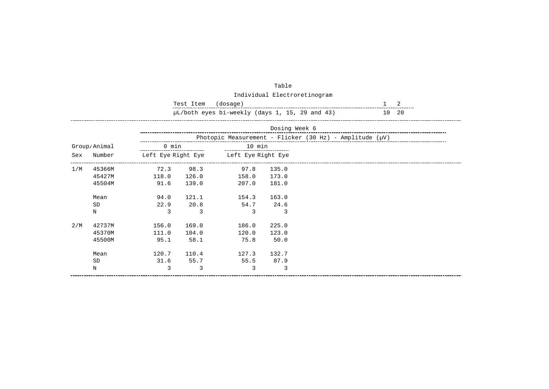|     |              |                    | Test Item | (dosage)                                                      |               | 2 |    |    |  |
|-----|--------------|--------------------|-----------|---------------------------------------------------------------|---------------|---|----|----|--|
|     |              |                    |           | µL/both eyes bi-weekly (days 1, 15, 29 and 43)                |               |   | 10 | 20 |  |
|     |              |                    |           |                                                               | Dosing Week 6 |   |    |    |  |
|     |              |                    |           | Photopic Measurement - Flicker (30 Hz) - Amplitude ( $\mu$ V) |               |   |    |    |  |
|     | Group/Animal | 0 min              |           | 10 min                                                        |               |   |    |    |  |
| Sex | Number       | Left Eye Right Eye |           | Left Eye Right Eye                                            |               |   |    |    |  |
| 1/M | 45366M       | 72.3               | 98.3      | 97.8                                                          | 135.0         |   |    |    |  |
|     | 45427M       | 118.0              | 126.0     | 158.0                                                         | 173.0         |   |    |    |  |
|     | 45504M       | 91.6               | 139.0     | 207.0                                                         | 181.0         |   |    |    |  |
|     | Mean         | 94.0               | 121.1     | 154.3                                                         | 163.0         |   |    |    |  |
|     | <b>SD</b>    | 22.9               | 20.8      | 54.7                                                          | 24.6          |   |    |    |  |
|     | N            |                    | 3         | २                                                             | 3             |   |    |    |  |
| 2/M | 42737M       | 156.0              | 169.0     | 186.0                                                         | 225.0         |   |    |    |  |
|     | 45370M       | 111.0              | 104.0     | 120.0                                                         | 123.0         |   |    |    |  |
|     | 45500M       | 95.1               | 58.1      | 75.8                                                          | 50.0          |   |    |    |  |
|     | Mean         | 120.7              | 110.4     | 127.3                                                         | 132.7         |   |    |    |  |
|     | <b>SD</b>    | 31.6               | 55.7      | 55.5                                                          | 87.9          |   |    |    |  |
|     | Ν            | 3                  | 3         | 3                                                             | 3             |   |    |    |  |

| Table                        |
|------------------------------|
| Individual Electroretinogram |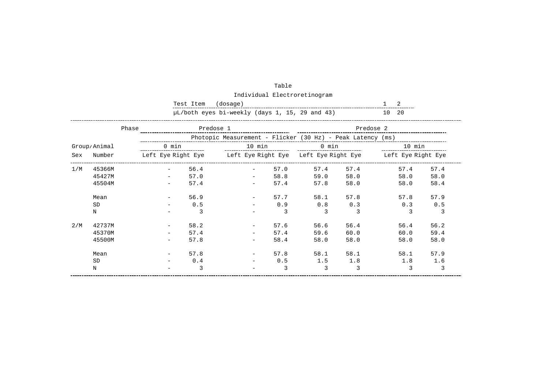|     |              |       | Test Item | (dosage)                                                   |                                                                             |       |      | 2         |      |
|-----|--------------|-------|-----------|------------------------------------------------------------|-----------------------------------------------------------------------------|-------|------|-----------|------|
|     |              |       |           | µL/both eyes bi-weekly (days 1, 15, 29 and 43)             |                                                                             |       |      | 10 20     |      |
|     | Phase        |       | Predose 1 |                                                            |                                                                             |       |      | Predose 2 |      |
|     |              |       |           | Photopic Measurement - Flicker (30 Hz) - Peak Latency (ms) |                                                                             |       |      |           |      |
|     | Group/Animal | 0 min |           |                                                            | 10 min                                                                      | 0 min |      | 10 min    |      |
| Sex | Number       |       |           |                                                            | Left Eye Right Eye beft Eye Right Eye Left Eye Right Eye beft Eye Right Eye |       |      |           |      |
| 1/M | 45366M       |       | 56.4      |                                                            | 57.0                                                                        | 57.4  | 57.4 | 57.4      | 57.4 |
|     | 45427M       |       | 57.0      |                                                            | 58.8                                                                        | 59.0  | 58.0 | 58.0      | 58.0 |
|     | 45504M       |       | 57.4      |                                                            | 57.4                                                                        | 57.8  | 58.0 | 58.0      | 58.4 |
|     | Mean         |       | 56.9      |                                                            | 57.7                                                                        | 58.1  | 57.8 | 57.8      | 57.9 |
|     | <b>SD</b>    |       | 0.5       |                                                            | 0.9                                                                         | 0.8   | 0.3  | 0.3       | 0.5  |
|     | N            |       | 3         |                                                            | 3                                                                           | 3     | 3    | 3         | 3    |
| 2/M | 42737M       |       | 58.2      |                                                            | 57.6                                                                        | 56.6  | 56.4 | 56.4      | 56.2 |
|     | 45370M       |       | 57.4      |                                                            | 57.4                                                                        | 59.6  | 60.0 | 60.0      | 59.4 |
|     | 45500M       |       | 57.8      |                                                            | 58.4                                                                        | 58.0  | 58.0 | 58.0      | 58.0 |
|     | Mean         |       | 57.8      |                                                            | 57.8                                                                        | 58.1  | 58.1 | 58.1      | 57.9 |
|     | <b>SD</b>    |       | 0.4       |                                                            | 0.5                                                                         | 1.5   | 1.8  | 1.8       | 1.6  |
|     | Ν            |       | 3         |                                                            | 3                                                                           | 3     | 3    | 3         | 3    |

| Table                        |
|------------------------------|
| Individual Electroretinogram |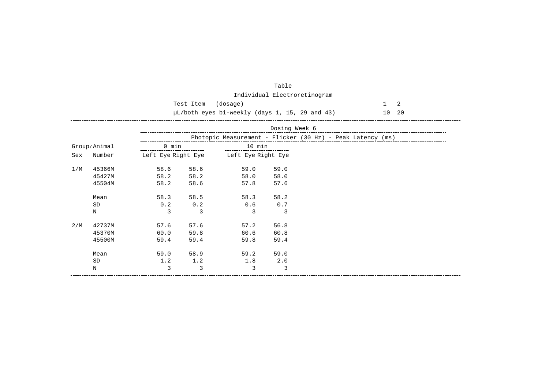|     |              |                                                         | Test Item<br>(dosage) | 2                                     |               |                                                            |  |  |  |  |
|-----|--------------|---------------------------------------------------------|-----------------------|---------------------------------------|---------------|------------------------------------------------------------|--|--|--|--|
|     |              | µL/both eyes bi-weekly (days 1, 15, 29 and 43)<br>10 20 |                       |                                       |               |                                                            |  |  |  |  |
|     |              |                                                         |                       |                                       | Dosing Week 6 |                                                            |  |  |  |  |
|     |              |                                                         |                       |                                       |               | Photopic Measurement - Flicker (30 Hz) - Peak Latency (ms) |  |  |  |  |
|     | Group/Animal | 0 min                                                   |                       | 10 min                                |               |                                                            |  |  |  |  |
| Sex | Number       |                                                         |                       | Left Eye Right Eye beft Eye Right Eye |               |                                                            |  |  |  |  |
| 1/M | 45366M       | 58.6                                                    | 58.6                  | 59.0                                  | 59.0          |                                                            |  |  |  |  |
|     | 45427M       | 58.2                                                    | 58.2                  | 58.0 58.0                             |               |                                                            |  |  |  |  |
|     | 45504M       | 58.2                                                    | 58.6                  | 57.8                                  | 57.6          |                                                            |  |  |  |  |
|     | Mean         | 58.3                                                    | 58.5                  | 58.3                                  | 58.2          |                                                            |  |  |  |  |
|     | SD           | 0.2                                                     | 0.2                   | 0.6                                   | 0.7           |                                                            |  |  |  |  |
|     | $\mathbf N$  | $\mathcal{R}$                                           | $\mathcal{L}$         | $\mathcal{E}$                         | $\mathcal{R}$ |                                                            |  |  |  |  |
| 2/M | 42737M       | 57.6                                                    | 57.6                  | 57.2                                  | 56.8          |                                                            |  |  |  |  |
|     | 45370M       | 60.0                                                    | 59.8                  | 60.6                                  | 60.8          |                                                            |  |  |  |  |
|     | 45500M       | 59.4                                                    | 59.4                  | 59.8                                  | 59.4          |                                                            |  |  |  |  |
|     | Mean         | 59.0                                                    | 58.9                  | 59.2                                  | 59.0          |                                                            |  |  |  |  |
|     | <b>SD</b>    | 1.2                                                     | 1.2                   | 1.8                                   | 2.0           |                                                            |  |  |  |  |
|     | $\rm N$      | 3                                                       | 3                     | $\mathcal{L}$                         | 3             |                                                            |  |  |  |  |

| Table                        |
|------------------------------|
| Individual Electroretinogram |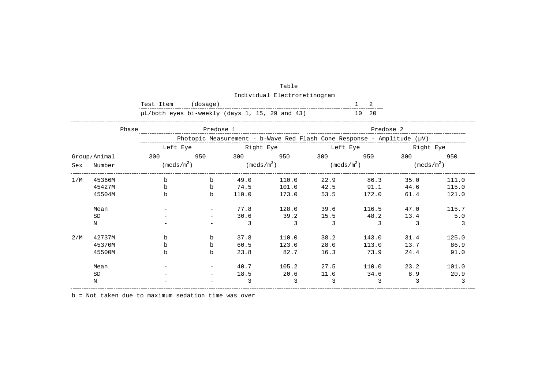|     |              | Test Item                                      | (dosage)  |                        |       |                     |                                                                        |                        |       |
|-----|--------------|------------------------------------------------|-----------|------------------------|-------|---------------------|------------------------------------------------------------------------|------------------------|-------|
|     |              | µL/both eyes bi-weekly (days 1, 15, 29 and 43) |           |                        |       |                     | 10 20                                                                  |                        |       |
|     | Phase        |                                                | Predose 1 |                        |       |                     | Predose 2                                                              |                        |       |
|     |              |                                                |           |                        |       |                     | Photopic Measurement - b-Wave Red Flash Cone Response - Amplitude (µV) |                        |       |
|     |              |                                                |           |                        |       |                     |                                                                        |                        |       |
|     | Group/Animal | 950<br>300                                     |           | 300 950                |       | 300                 | 950                                                                    | 300                    | 950   |
| Sex | Number       | (mcds/m <sup>2</sup> )                         |           | (mcds/m <sup>2</sup> ) |       | $(\text{mcds/m}^2)$ |                                                                        | (mcds/m <sup>2</sup> ) |       |
| 1/M | 45366M       | $\mathbf b$                                    | b         | 49.0                   | 110.0 | 22.9                | 86.3                                                                   | 35.0                   | 111.0 |
|     | 45427M       | $\mathbf b$                                    | b         | 74.5                   | 101.0 | 42.5                | 91.1                                                                   | 44.6                   | 115.0 |
|     | 45504M       | $\mathbf b$                                    | b         | 110.0                  | 173.0 | 53.5                | 172.0                                                                  | 61.4                   | 121.0 |
|     | Mean         |                                                |           | 77.8                   | 128.0 | 39.6                | 116.5                                                                  | 47.0                   | 115.7 |
|     | <b>SD</b>    |                                                |           | 30.6                   | 39.2  | 15.5                | 48.2                                                                   | 13.4                   | 5.0   |
|     | N            |                                                |           | 3                      | 3     | 3                   | 3                                                                      | 3                      | 3     |
| 2/M | 42737M       | b                                              | b         | 37.8                   | 110.0 | 38.2                | 143.0                                                                  | 31.4                   | 125.0 |
|     | 45370M       | $\mathbf b$                                    | b         | 60.5                   | 123.0 | 28.0                | 113.0                                                                  | 13.7                   | 86.9  |
|     | 45500M       | h                                              | b         | 23.8                   | 82.7  | 16.3                | 73.9                                                                   | 24.4                   | 91.0  |
|     | Mean         |                                                |           | 40.7                   | 105.2 | 27.5                | 110.0                                                                  | 23.2                   | 101.0 |
|     | <b>SD</b>    |                                                |           | 18.5                   | 20.6  | 11.0                | 34.6                                                                   | 8.9                    | 20.9  |
|     | N            |                                                |           | 3                      | 3     | 3                   | 3                                                                      | 3                      | 3     |

| Table                        |
|------------------------------|
| Individual Electroretinogram |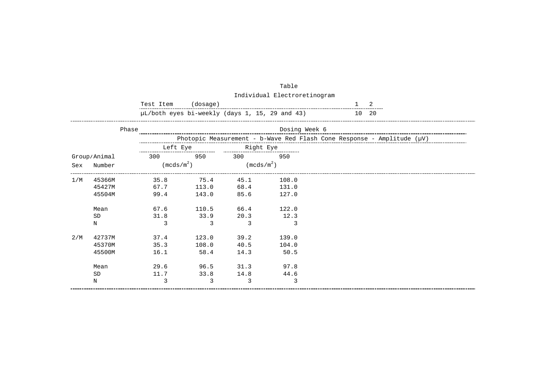|     |              | Test Item    | (dosage) |                        |                                                |                                                                             |
|-----|--------------|--------------|----------|------------------------|------------------------------------------------|-----------------------------------------------------------------------------|
|     |              |              |          |                        | µL/both eyes bi-weekly (days 1, 15, 29 and 43) | 20<br>10                                                                    |
|     | Phase        |              |          |                        | Dosing Week 6                                  |                                                                             |
|     |              |              |          |                        |                                                | Photopic Measurement - b-Wave Red Flash Cone Response - Amplitude $(\mu V)$ |
|     |              | Left Eye     |          | Right Eye              |                                                |                                                                             |
|     | Group/Animal | 300          | 950      | 300                    | 950                                            |                                                                             |
| Sex | Number       | $(mcds/m^2)$ |          | (mcds/m <sup>2</sup> ) |                                                |                                                                             |
| 1/M | 45366M       | 35.8         | 75.4     | 45.1                   | 108.0                                          |                                                                             |
|     | 45427M       | 67.7         | 113.0    | 68.4                   | 131.0                                          |                                                                             |
|     | 45504M       | 99.4         | 143.0    | 85.6                   | 127.0                                          |                                                                             |
|     | Mean         | 67.6         | 110.5    | 66.4                   | 122.0                                          |                                                                             |
|     | SD           | 31.8         | 33.9     | 20.3                   | 12.3                                           |                                                                             |
|     | N            | 3            | 3        | 3                      | 3                                              |                                                                             |
| 2/M | 42737M       | 37.4         | 123.0    | 39.2                   | 139.0                                          |                                                                             |
|     | 45370M       | 35.3         | 108.0    | 40.5                   | 104.0                                          |                                                                             |
|     | 45500M       | 16.1         | 58.4     | 14.3                   | 50.5                                           |                                                                             |
|     | Mean         | 29.6         | 96.5     | 31.3                   | 97.8                                           |                                                                             |
|     | <b>SD</b>    | 11.7         | 33.8     | 14.8                   | 44.6                                           |                                                                             |
|     | N            | 3            | 3        | 3                      | 3                                              |                                                                             |

| Table                        |
|------------------------------|
| Individual Electroretinogram |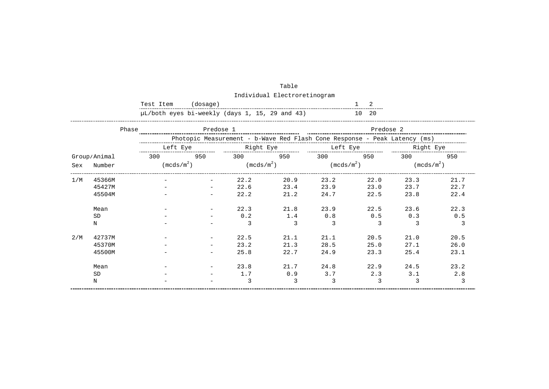|     | Test Item<br>(dosage) |                                                |     |                                                                           |      |                                 |                        |           |                        |  |  |
|-----|-----------------------|------------------------------------------------|-----|---------------------------------------------------------------------------|------|---------------------------------|------------------------|-----------|------------------------|--|--|
|     |                       | µL/both eyes bi-weekly (days 1, 15, 29 and 43) |     |                                                                           |      |                                 | 10 20                  |           |                        |  |  |
|     | Phase                 |                                                |     |                                                                           |      | _______________________________ | Predose 2              |           |                        |  |  |
|     |                       |                                                |     | Photopic Measurement - b-Wave Red Flash Cone Response - Peak Latency (ms) |      |                                 |                        |           |                        |  |  |
|     |                       | Left Eye                                       |     | Right Eye                                                                 |      | Left Eye                        |                        | Right Eye |                        |  |  |
|     | Group/Animal          | 300                                            | 950 | 300                                                                       | 950  | 300                             | 950                    | 300       | 950                    |  |  |
| Sex | Number                | (mcds/m <sup>2</sup> )                         |     | $(\text{mcds/m}^2)$                                                       |      |                                 | (mcds/m <sup>2</sup> ) |           | (mcds/m <sup>2</sup> ) |  |  |
| 1/M | 45366M                |                                                |     | 22.2                                                                      | 20.9 | 23.2                            | 22.0                   | 23.3      | 21.7                   |  |  |
|     | 45427M                |                                                |     | 22.6                                                                      | 23.4 | 23.9                            | 23.0                   | 23.7      | 22.7                   |  |  |
|     | 45504M                |                                                |     | 22.2                                                                      | 21.2 | 24.7                            | 22.5                   | 23.8      | 22.4                   |  |  |
|     | Mean                  |                                                |     | 22.3                                                                      | 21.8 | 23.9                            | 22.5                   | 23.6      | 22.3                   |  |  |
|     | <b>SD</b>             |                                                |     | 0.2                                                                       | 1.4  | 0.8                             | 0.5                    | 0.3       | 0.5                    |  |  |
|     | N                     |                                                |     | 3                                                                         | 3    | 3                               | 3                      | 3         | 3                      |  |  |
| 2/M | 42737M                |                                                |     | 22.5                                                                      | 21.1 | 21.1                            | 20.5                   | 21.0      | 20.5                   |  |  |
|     | 45370M                |                                                |     | 23.2                                                                      | 21.3 | 28.5                            | 25.0                   | 27.1      | 26.0                   |  |  |
|     | 45500M                |                                                |     | 25.8                                                                      | 22.7 | 24.9                            | 23.3                   | 25.4      | 23.1                   |  |  |
|     | Mean                  |                                                |     | 23.8                                                                      | 21.7 | 24.8                            | 22.9                   | 24.5      | 23.2                   |  |  |
|     | <b>SD</b>             |                                                |     | 1.7                                                                       | 0.9  | 3.7                             | 2.3                    | 3.1       | 2.8                    |  |  |
|     | N                     |                                                |     | 3                                                                         | 3    | 3                               | 3                      | 3         | 3                      |  |  |

| Table                        |
|------------------------------|
| Individual Electroretinogram |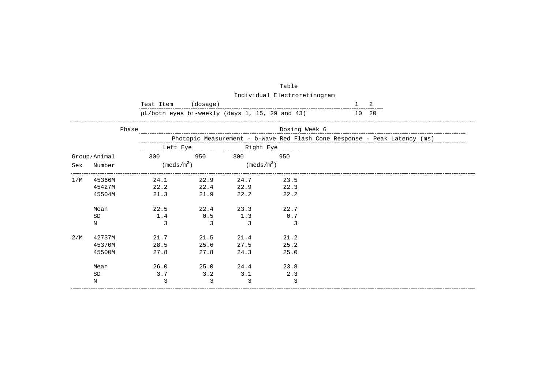|     |              | Test Item                                      | (dosage) |                     |               |                                                                           |
|-----|--------------|------------------------------------------------|----------|---------------------|---------------|---------------------------------------------------------------------------|
|     |              | µL/both eyes bi-weekly (days 1, 15, 29 and 43) |          |                     |               | 20<br>10                                                                  |
|     | Phase        |                                                |          |                     | Dosing Week 6 |                                                                           |
|     |              |                                                |          |                     |               | Photopic Measurement - b-Wave Red Flash Cone Response - Peak Latency (ms) |
|     |              | Left Eye                                       |          | Right Eye           |               |                                                                           |
|     | Group/Animal | 300                                            | 950      | 300                 | 950           |                                                                           |
| Sex | Number       | (mcds/m <sup>2</sup> )                         |          | $(\text{mcds/m}^2)$ |               |                                                                           |
| 1/M | 45366M       | 24.1                                           | 22.9     | 24.7                | 23.5          |                                                                           |
|     | 45427M       | 22.2                                           | 22.4     | 22.9                | 22.3          |                                                                           |
|     | 45504M       | 21.3                                           | 21.9     | 22.2                | 22.2          |                                                                           |
|     | Mean         | 22.5                                           | 22.4     | 23.3                | 22.7          |                                                                           |
|     | <b>SD</b>    | 1.4                                            | 0.5      | 1.3                 | 0.7           |                                                                           |
|     | N            | 3                                              | 3        | 3                   | 3             |                                                                           |
| 2/M | 42737M       | 21.7                                           | 21.5     | 21.4                | 21.2          |                                                                           |
|     | 45370M       | 28.5                                           | 25.6     | 27.5                | 25.2          |                                                                           |
|     | 45500M       | 27.8                                           | 27.8     | 24.3                | 25.0          |                                                                           |
|     | Mean         | 26.0                                           | 25.0     | 24.4                | 23.8          |                                                                           |
|     | <b>SD</b>    | 3.7                                            | 3.2      | 3.1                 | 2.3           |                                                                           |
|     | N            | 3                                              | 3        | 3                   | 3             |                                                                           |

| Table                        |
|------------------------------|
| Individual Electroretinogram |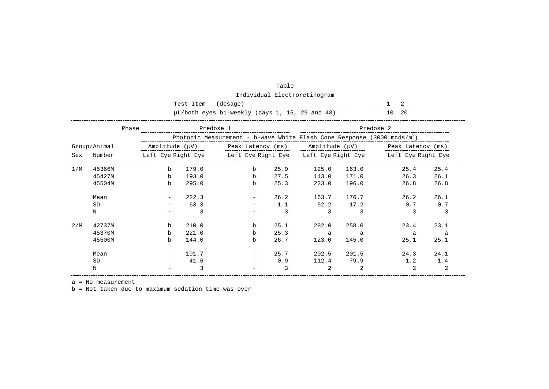|     |              |       | Test Item | (dosage)                                                                    |      |                       |                                                                             |                                                                                      |      |
|-----|--------------|-------|-----------|-----------------------------------------------------------------------------|------|-----------------------|-----------------------------------------------------------------------------|--------------------------------------------------------------------------------------|------|
|     |              |       |           | µL/both eyes bi-weekly (days 1, 15, 29 and 43)                              |      |                       |                                                                             | 10, 20                                                                               |      |
|     |              | Phase | Predose 1 |                                                                             |      | _____________________ | Predose 2                                                                   |                                                                                      |      |
|     |              |       |           | Photopic Measurement - b-Wave White Flash Cone Response (3000 mcds/ $m^2$ ) |      |                       |                                                                             |                                                                                      |      |
|     | Group/Animal |       |           |                                                                             |      |                       |                                                                             | Amplitude ( $\mu$ V)  Peak Latency (ms) Amplitude ( $\mu$ V) $\mu$ Peak Latency (ms) |      |
| Sex | Number       |       |           |                                                                             |      |                       | Left Eye Right Eye beft Eye Right Eye beft Eye Right Eye beft Eye Right Eye |                                                                                      |      |
| 1/M | 45366M       | $b$   | 179.0     | $\mathbf b$                                                                 | 25.9 | 125.0                 | 163.0                                                                       | 25.4                                                                                 | 25.4 |
|     | 45427M       | b     | 193.0     | $\mathbf b$                                                                 | 27.5 | 143.0                 | 171.0                                                                       | 26.3                                                                                 | 26.1 |
|     | 45504M       | b     | 295.0     | $\mathbf b$                                                                 | 25.3 | 223.0                 | 196.0                                                                       | 26.8                                                                                 | 26.8 |
|     | Mean         |       | 222.3     |                                                                             | 26.2 | 163.7                 | 176.7                                                                       | 26.2                                                                                 | 26.1 |
|     | <b>SD</b>    |       | 63.3      |                                                                             | 1.1  | 52.2                  | 17.2                                                                        | 0.7                                                                                  | 0.7  |
|     | N            |       | 3         |                                                                             | 3    | 3                     | 3                                                                           | 3                                                                                    | 3    |
| 2/M | 42737M       | b     | 210.0     | $\mathbf b$                                                                 | 25.1 | 282.0                 | 258.0                                                                       | 23.4                                                                                 | 23.1 |
|     | 45370M       | $b$   | 221.0     | $\mathbf b$                                                                 | 25.3 | a                     | a                                                                           | a                                                                                    | a    |
|     | 45500M       | b     | 144.0     | b                                                                           | 26.7 | 123.0                 | 145.0                                                                       | 25.1                                                                                 | 25.1 |
|     | Mean         |       | 191.7     |                                                                             | 25.7 | 202.5                 | 201.5                                                                       | 24.3                                                                                 | 24.1 |
|     | <b>SD</b>    |       | 41.6      |                                                                             | 0.9  | 112.4                 | 79.9                                                                        | 1.2                                                                                  | 1.4  |
|     | N            |       | 3         |                                                                             | 3    | 2                     | 2                                                                           | 2                                                                                    | 2    |

| Table                        |
|------------------------------|
| Individual Electroretinogram |

a = No measurement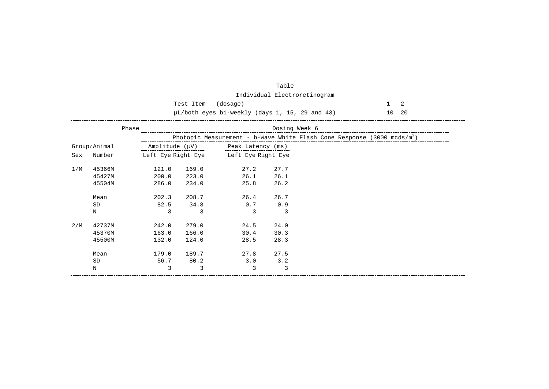|     |              |                | Test Item     | (dosage)                                       |      |  | 2                                                                           |  |  |  |
|-----|--------------|----------------|---------------|------------------------------------------------|------|--|-----------------------------------------------------------------------------|--|--|--|
|     |              |                |               | µL/both eyes bi-weekly (days 1, 15, 29 and 43) |      |  | 10 20                                                                       |  |  |  |
|     |              | Phase          | Dosing Week 6 |                                                |      |  |                                                                             |  |  |  |
|     |              |                |               |                                                |      |  | Photopic Measurement - b-Wave White Flash Cone Response (3000 mcds/ $m^2$ ) |  |  |  |
|     | Group/Animal | Amplitude (µV) |               | Peak Latency (ms)                              |      |  |                                                                             |  |  |  |
| Sex | Number       |                |               | Left Eye Right Eye Left Eye Right Eye          |      |  |                                                                             |  |  |  |
| 1/M | 45366M       | 121.0          | 169.0         | 27.2                                           | 27.7 |  |                                                                             |  |  |  |
|     | 45427M       | 200.0          | 223.0         | 26.1                                           | 26.1 |  |                                                                             |  |  |  |
|     | 45504M       | 286.0          | 234.0         | 25.8                                           | 26.2 |  |                                                                             |  |  |  |
|     | Mean         | 202.3          | 208.7         | 26.4                                           | 26.7 |  |                                                                             |  |  |  |
|     | SD           | 82.5           | 34.8          | 0.7                                            | 0.9  |  |                                                                             |  |  |  |
|     | N            | 3              | 3             | 3                                              | 3    |  |                                                                             |  |  |  |
| 2/M | 42737M       | 242.0          | 279.0         | 24.5                                           | 24.0 |  |                                                                             |  |  |  |
|     | 45370M       | 163.0          | 166.0         | 30.4                                           | 30.3 |  |                                                                             |  |  |  |
|     | 45500M       | 132.0          | 124.0         | 28.5                                           | 28.3 |  |                                                                             |  |  |  |
|     | Mean         | 179.0          | 189.7         | 27.8                                           | 27.5 |  |                                                                             |  |  |  |
|     | <b>SD</b>    | 56.7           | 80.2          | 3.0                                            | 3.2  |  |                                                                             |  |  |  |
|     | Ν            | 3              | 3             | 3                                              | 3    |  |                                                                             |  |  |  |

Individual Electroretinogram

Table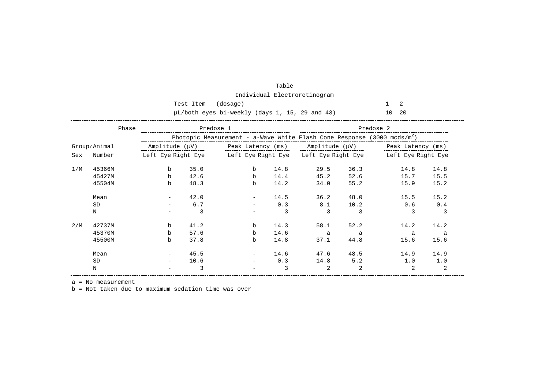|     |              |                | Test Item | (dosage)                                                                            |      |      |      | 2         |      |
|-----|--------------|----------------|-----------|-------------------------------------------------------------------------------------|------|------|------|-----------|------|
|     |              |                |           | µL/both eyes bi-weekly (days 1, 15, 29 and 43)                                      |      |      |      | 10 20     |      |
|     | Phase        |                | Predose 1 |                                                                                     |      |      |      | Predose 2 |      |
|     |              |                |           | Photopic Measurement - a-Wave White Flash Cone Response (3000 mcds/m <sup>2</sup> ) |      |      |      |           |      |
|     | Group/Animal | Amplitude (µV) |           | Peak Latency (ms) Amplitude (µV) Peak Latency (ms)                                  |      |      |      |           |      |
| Sex | Number       |                |           | Left Eye Right Eye beft Eye Right Eye beft Eye Right Eye beft Eye Right Eye         |      |      |      |           |      |
| 1/M | 45366M       | b              | 35.0      | $\mathbf b$                                                                         | 14.8 | 29.5 | 36.3 | 14.8      | 14.8 |
|     | 45427M       | b              | 42.6      | $\mathbf b$                                                                         | 14.4 | 45.2 | 52.6 | 15.7      | 15.5 |
|     | 45504M       | b.             | 48.3      | b                                                                                   | 14.2 | 34.0 | 55.2 | 15.9      | 15.2 |
|     | Mean         |                | 42.0      |                                                                                     | 14.5 | 36.2 | 48.0 | 15.5      | 15.2 |
|     | <b>SD</b>    |                | 6.7       |                                                                                     | 0.3  | 8.1  | 10.2 | 0.6       | 0.4  |
|     | N            |                | 3         |                                                                                     | 3    | 3    | 3    | 3         | 3    |
| 2/M | 42737M       | b              | 41.2      | b                                                                                   | 14.3 | 58.1 | 52.2 | 14.2      | 14.2 |
|     | 45370M       | $\mathbf b$    | 57.6      | $\mathbf b$                                                                         | 14.6 | a    | a    | a         | a a  |
|     | 45500M       | b              | 37.8      | $\mathbf b$                                                                         | 14.8 | 37.1 | 44.8 | 15.6      | 15.6 |
|     | Mean         |                | 45.5      |                                                                                     | 14.6 | 47.6 | 48.5 | 14.9      | 14.9 |
|     | <b>SD</b>    |                | 10.6      |                                                                                     | 0.3  | 14.8 | 5.2  | 1.0       | 1.0  |
|     | Ν            |                | 3         |                                                                                     | 3    | 2    | 2    | 2         | 2    |

| Table                        |
|------------------------------|
| Individual Electroretinogram |

a = No measurement